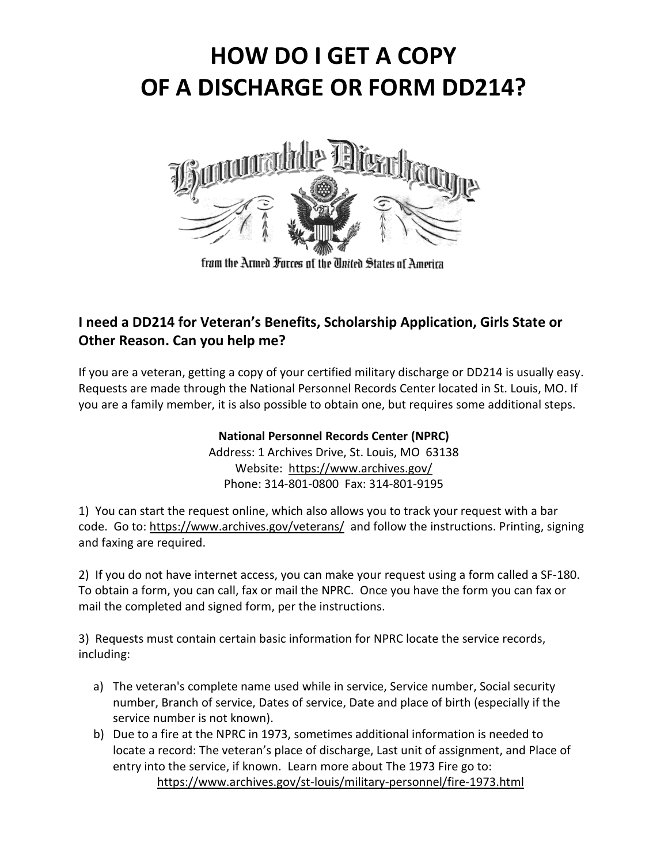# **HOW DO I GET A COPY OF A DISCHARGE OR FORM DD214?**



from the Armed Forces of the Thited States of America

## **I need a DD214 for Veteran's Benefits, Scholarship Application, Girls State or Other Reason. Can you help me?**

If you are a veteran, getting a copy of your certified military discharge or DD214 is usually easy. Requests are made through the National Personnel Records Center located in St. Louis, MO. If you are a family member, it is also possible to obtain one, but requires some additional steps.

### **National Personnel Records Center (NPRC)**

Address: 1 Archives Drive, St. Louis, MO 63138 Website: https://www.archives.gov/ Phone: 314-801-0800 Fax: 314-801-9195

1) You can start the request online, which also allows you to track your request with a bar code. Go to: https://www.archives.gov/veterans/ and follow the instructions. Printing, signing and faxing are required.

2) If you do not have internet access, you can make your request using a form called a SF-180. To obtain a form, you can call, fax or mail the NPRC. Once you have the form you can fax or mail the completed and signed form, per the instructions.

3) Requests must contain certain basic information for NPRC locate the service records, including:

- a) The veteran's complete name used while in service, Service number, Social security number, Branch of service, Dates of service, Date and place of birth (especially if the service number is not known).
- b) Due to a fire at the NPRC in 1973, sometimes additional information is needed to locate a record: The veteran's place of discharge, Last unit of assignment, and Place of entry into the service, if known. Learn more about The 1973 Fire go to: https://www.archives.gov/st-louis/military-personnel/fire-1973.html